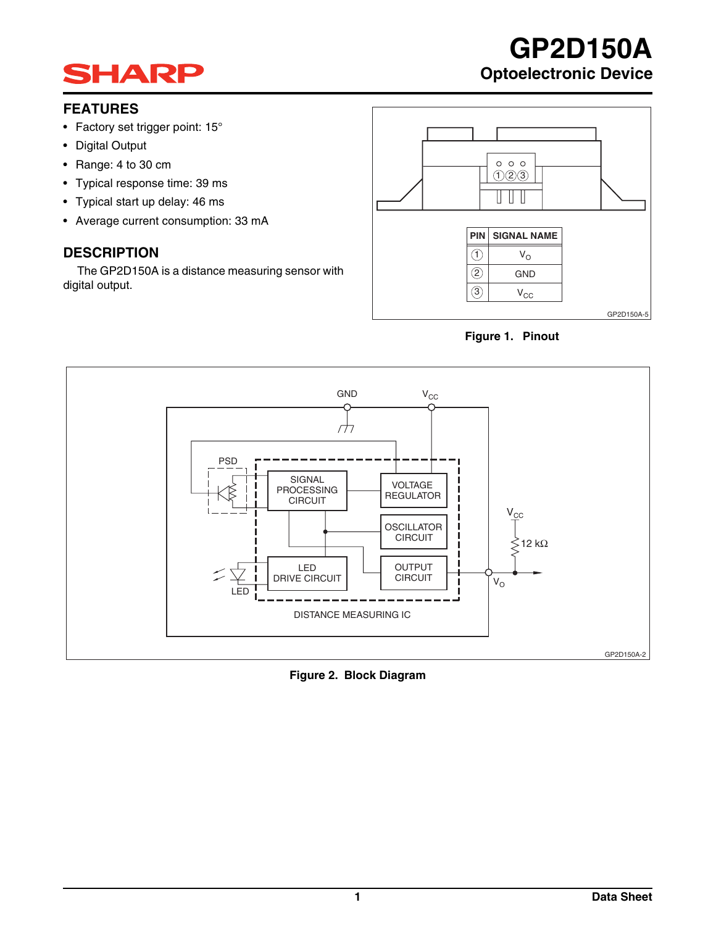

## **FEATURES**

- Factory set trigger point: 15°
- Digital Output
- Range: 4 to 30 cm
- Typical response time: 39 ms
- Typical start up delay: 46 ms
- Average current consumption: 33 mA

## **DESCRIPTION**

The GP2D150A is a distance measuring sensor with digital output.



**GP2D150A**

**Optoelectronic Device**





**Figure 2. Block Diagram**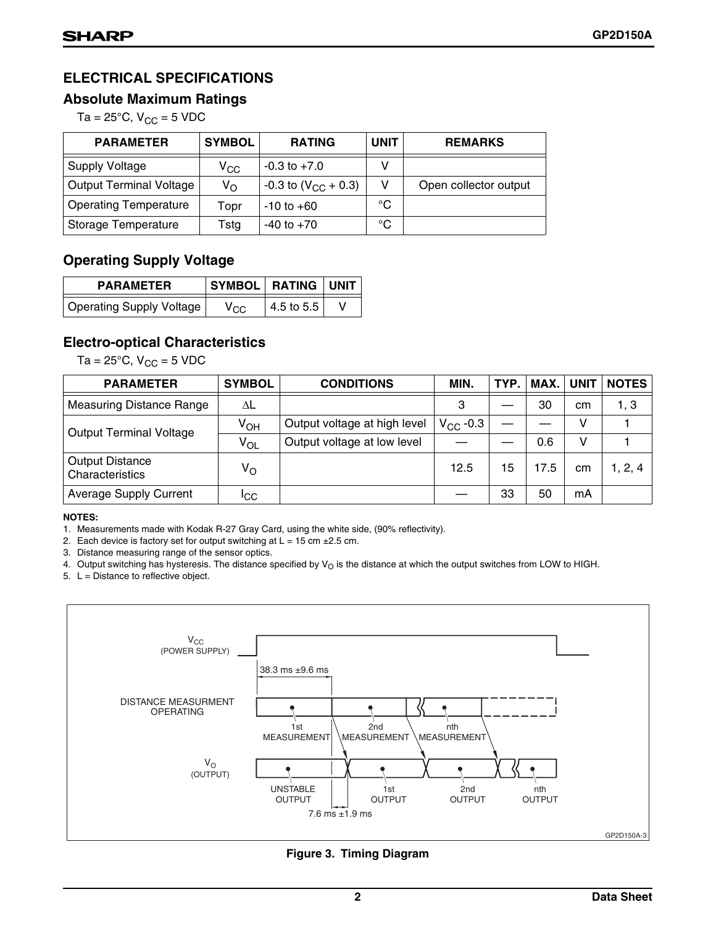## **ELECTRICAL SPECIFICATIONS**

## **Absolute Maximum Ratings**

Ta =  $25^{\circ}$ C, V<sub>CC</sub> = 5 VDC

| <b>PARAMETER</b>               | <b>SYMBOL</b>    | <b>RATING</b>                     | <b>UNIT</b> | <b>REMARKS</b>        |
|--------------------------------|------------------|-----------------------------------|-------------|-----------------------|
| <b>Supply Voltage</b>          | $\rm v_{\rm cc}$ | $-0.3$ to $+7.0$                  | v           |                       |
| <b>Output Terminal Voltage</b> | $V_{\rm O}$      | $-0.3$ to (V <sub>CC</sub> + 0.3) | v           | Open collector output |
| <b>Operating Temperature</b>   | Topr             | $-10$ to $+60$                    | $^{\circ}C$ |                       |
| Storage Temperature            | Tstg             | $-40$ to $+70$                    | $^{\circ}C$ |                       |

## **Operating Supply Voltage**

| <b>PARAMETER</b>         | SYMBOL   RATING   UNIT |            |  |  |
|--------------------------|------------------------|------------|--|--|
| Operating Supply Voltage | Vcc                    | 4.5 to 5.5 |  |  |

## **Electro-optical Characteristics**

Ta =  $25^{\circ}$ C, V<sub>CC</sub> = 5 VDC

| <b>PARAMETER</b>                          | <b>SYMBOL</b> | <b>CONDITIONS</b>            | MIN.          | TYP. | MAX. | <b>UNIT</b> | <b>NOTES</b> |
|-------------------------------------------|---------------|------------------------------|---------------|------|------|-------------|--------------|
| <b>Measuring Distance Range</b>           | ΛL            |                              | 3             |      | 30   | cm          | 1, 3         |
| <b>Output Terminal Voltage</b>            | $V_{OH}$      | Output voltage at high level | $V_{CC}$ -0.3 |      |      | v           |              |
|                                           | $V_{OL}$      | Output voltage at low level  |               |      | 0.6  | v           |              |
| <b>Output Distance</b><br>Characteristics | $V_{\rm O}$   |                              | 12.5          | 15   | 17.5 | cm          | 1, 2, 4      |
| <b>Average Supply Current</b>             | Iсс           |                              |               | 33   | 50   | mA          |              |

### **NOTES:**

1. Measurements made with Kodak R-27 Gray Card, using the white side, (90% reflectivity).

2. Each device is factory set for output switching at  $L = 15$  cm  $\pm 2.5$  cm.

3. Distance measuring range of the sensor optics.

4. Output switching has hysteresis. The distance specified by  $V_O$  is the distance at which the output switches from LOW to HIGH.

5.  $L =$  Distance to reflective object.



**Figure 3. Timing Diagram**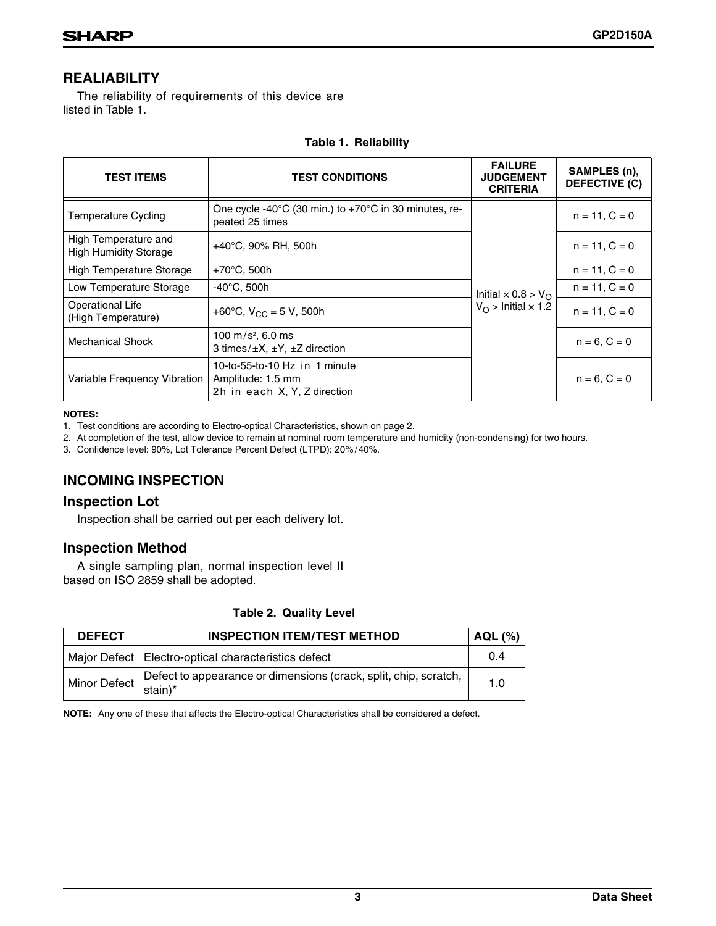## **REALIABILITY**

The reliability of requirements of this device are listed in Table 1.

| <b>TEST ITEMS</b>                             | <b>TEST CONDITIONS</b>                                                             | <b>FAILURE</b><br><b>JUDGEMENT</b><br><b>CRITERIA</b> | SAMPLES (n),<br><b>DEFECTIVE (C)</b> |  |
|-----------------------------------------------|------------------------------------------------------------------------------------|-------------------------------------------------------|--------------------------------------|--|
| <b>Temperature Cycling</b>                    | One cycle -40°C (30 min.) to +70°C in 30 minutes, re-<br>peated 25 times           |                                                       | $n = 11, C = 0$                      |  |
| High Temperature and<br>High Humidity Storage | $+40^{\circ}$ C, 90% RH, 500h                                                      |                                                       | $n = 11, C = 0$                      |  |
| <b>High Temperature Storage</b>               | $+70^{\circ}$ C, 500h                                                              |                                                       | $n = 11, C = 0$                      |  |
| Low Temperature Storage                       | $-40^{\circ}$ C, 500h                                                              | Initial $\times$ 0.8 > V <sub>O</sub>                 | $n = 11, C = 0$                      |  |
| Operational Life<br>(High Temperature)        | +60°C, $V_{CC}$ = 5 V, 500h                                                        | $V_{\Omega}$ > Initial $\times$ 1.2                   | $n = 11, C = 0$                      |  |
| Mechanical Shock                              | 100 m/s <sup>2</sup> , 6.0 ms<br>3 times/ $\pm X$ , $\pm Y$ , $\pm Z$ direction    |                                                       | $n = 6, C = 0$                       |  |
| Variable Frequency Vibration                  | 10-to-55-to-10 Hz in 1 minute<br>Amplitude: 1.5 mm<br>2h in each X, Y, Z direction |                                                       | $n = 6, C = 0$                       |  |

## **Table 1. Reliability**

#### **NOTES:**

1. Test conditions are according to Electro-optical Characteristics, shown on page 2.

2. At completion of the test, allow device to remain at nominal room temperature and humidity (non-condensing) for two hours.

3. Confidence level: 90%, Lot Tolerance Percent Defect (LTPD): 20% /40%.

## **INCOMING INSPECTION**

## **Inspection Lot**

Inspection shall be carried out per each delivery lot.

## **Inspection Method**

A single sampling plan, normal inspection level II based on ISO 2859 shall be adopted.

| <b>DEFECT</b> | <b>INSPECTION ITEM/TEST METHOD</b>                                                                                                                  | AQL (%) |
|---------------|-----------------------------------------------------------------------------------------------------------------------------------------------------|---------|
|               | Major Defect   Electro-optical characteristics defect                                                                                               | 0.4     |
|               | Minor Defect $\left  \begin{array}{l} \text{Defect to appearance or dimensions (crack, split, chip, scratch, } \\ \text{stain} \end{array} \right $ | 1.0     |

**NOTE:** Any one of these that affects the Electro-optical Characteristics shall be considered a defect.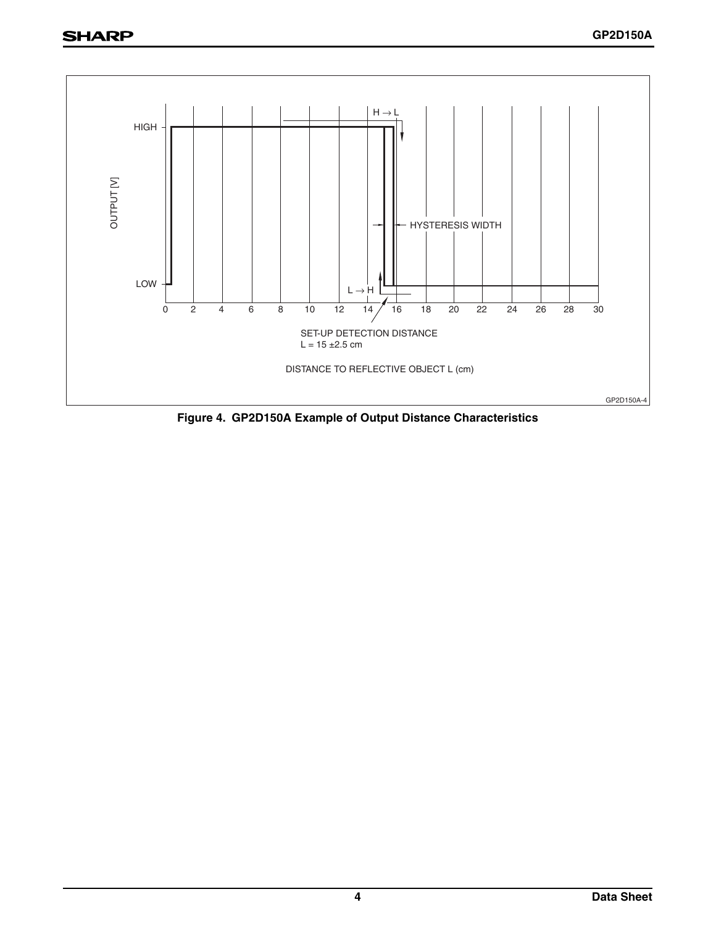

**Figure 4. GP2D150A Example of Output Distance Characteristics**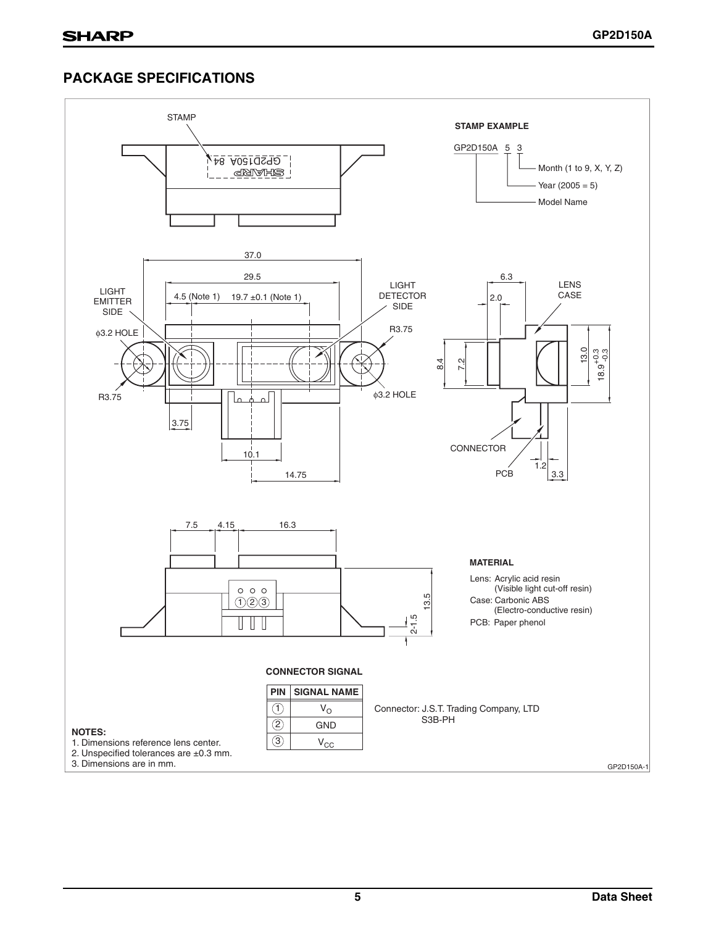## **PACKAGE SPECIFICATIONS**

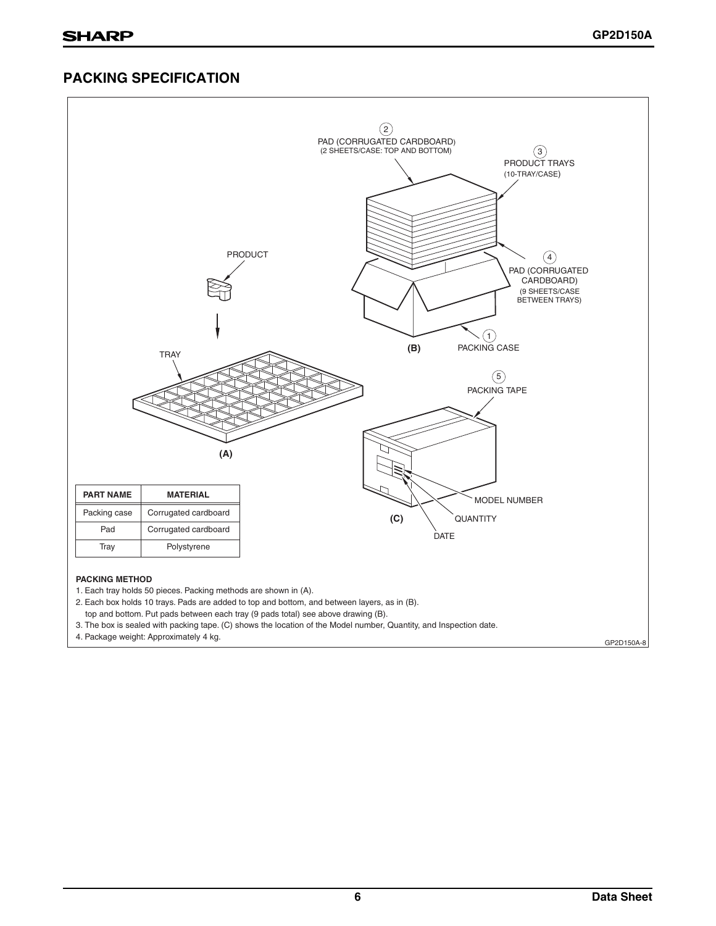## **PACKING SPECIFICATION**

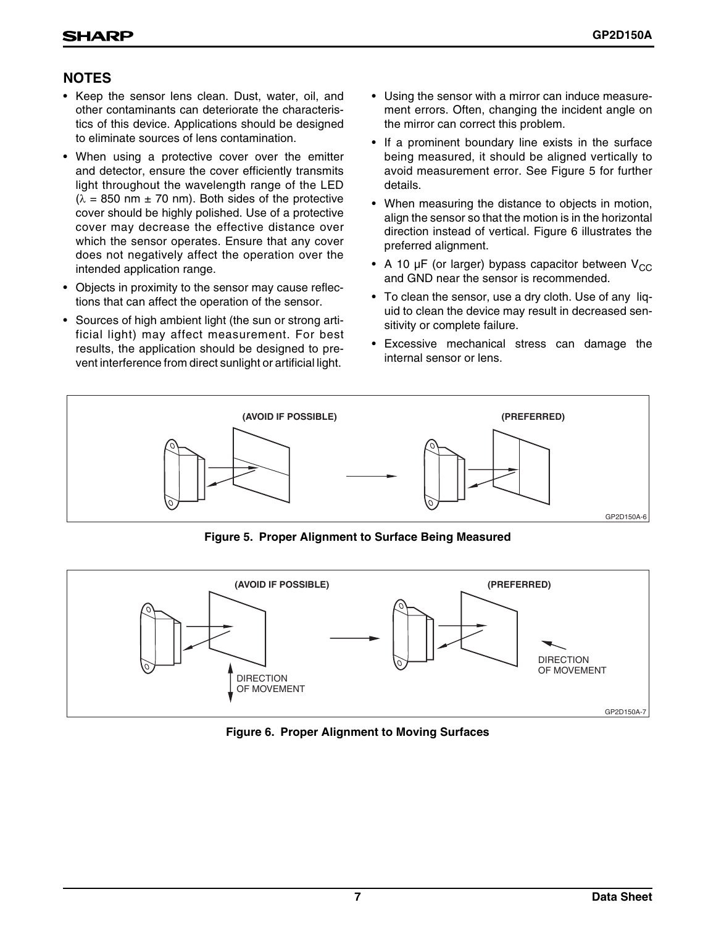## **NOTES**

- Keep the sensor lens clean. Dust, water, oil, and other contaminants can deteriorate the characteristics of this device. Applications should be designed to eliminate sources of lens contamination.
- When using a protective cover over the emitter and detector, ensure the cover efficiently transmits light throughout the wavelength range of the LED  $(\lambda = 850 \text{ nm} \pm 70 \text{ nm})$ . Both sides of the protective cover should be highly polished. Use of a protective cover may decrease the effective distance over which the sensor operates. Ensure that any cover does not negatively affect the operation over the intended application range.
- Objects in proximity to the sensor may cause reflections that can affect the operation of the sensor.
- Sources of high ambient light (the sun or strong artificial light) may affect measurement. For best results, the application should be designed to prevent interference from direct sunlight or artificial light.
- Using the sensor with a mirror can induce measurement errors. Often, changing the incident angle on the mirror can correct this problem.
- If a prominent boundary line exists in the surface being measured, it should be aligned vertically to avoid measurement error. See Figure 5 for further details.
- When measuring the distance to objects in motion, align the sensor so that the motion is in the horizontal direction instead of vertical. Figure 6 illustrates the preferred alignment.
- A 10  $\mu$ F (or larger) bypass capacitor between V<sub>CC</sub> and GND near the sensor is recommended.
- To clean the sensor, use a dry cloth. Use of any liquid to clean the device may result in decreased sensitivity or complete failure.
- Excessive mechanical stress can damage the internal sensor or lens.



**Figure 5. Proper Alignment to Surface Being Measured**



**Figure 6. Proper Alignment to Moving Surfaces**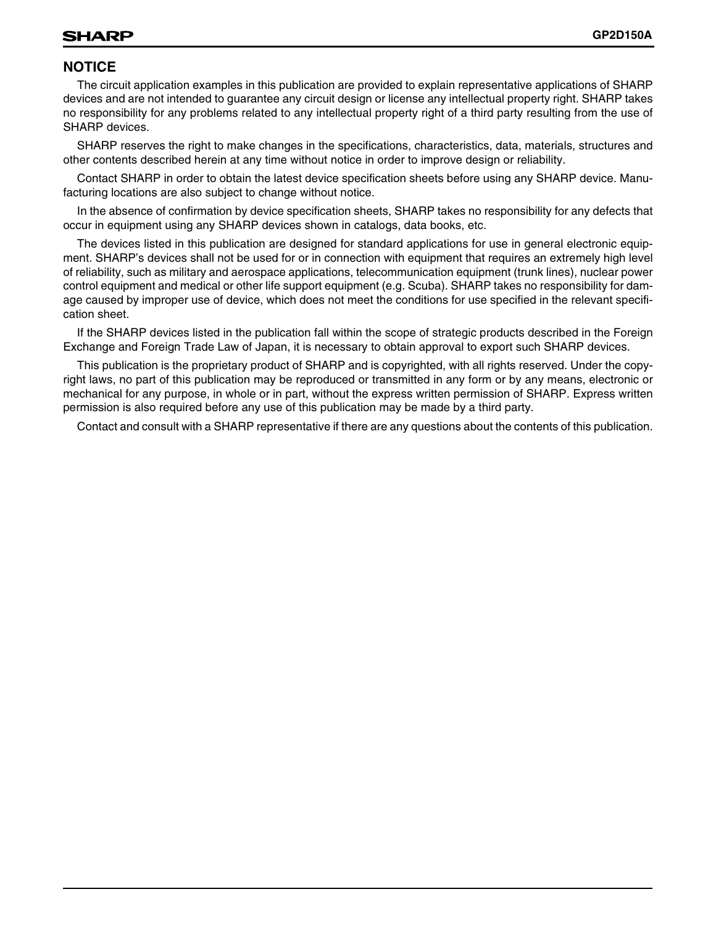## **NOTICE**

The circuit application examples in this publication are provided to explain representative applications of SHARP devices and are not intended to guarantee any circuit design or license any intellectual property right. SHARP takes no responsibility for any problems related to any intellectual property right of a third party resulting from the use of SHARP devices.

SHARP reserves the right to make changes in the specifications, characteristics, data, materials, structures and other contents described herein at any time without notice in order to improve design or reliability.

Contact SHARP in order to obtain the latest device specification sheets before using any SHARP device. Manufacturing locations are also subject to change without notice.

In the absence of confirmation by device specification sheets, SHARP takes no responsibility for any defects that occur in equipment using any SHARP devices shown in catalogs, data books, etc.

The devices listed in this publication are designed for standard applications for use in general electronic equipment. SHARP's devices shall not be used for or in connection with equipment that requires an extremely high level of reliability, such as military and aerospace applications, telecommunication equipment (trunk lines), nuclear power control equipment and medical or other life support equipment (e.g. Scuba). SHARP takes no responsibility for damage caused by improper use of device, which does not meet the conditions for use specified in the relevant specification sheet.

If the SHARP devices listed in the publication fall within the scope of strategic products described in the Foreign Exchange and Foreign Trade Law of Japan, it is necessary to obtain approval to export such SHARP devices.

This publication is the proprietary product of SHARP and is copyrighted, with all rights reserved. Under the copyright laws, no part of this publication may be reproduced or transmitted in any form or by any means, electronic or mechanical for any purpose, in whole or in part, without the express written permission of SHARP. Express written permission is also required before any use of this publication may be made by a third party.

Contact and consult with a SHARP representative if there are any questions about the contents of this publication.